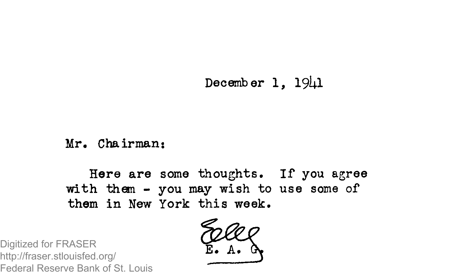**December 1, 19Ul**

Mr. Chairman:

Here are some thoughts. If you agree with them  $-$  you may wish to use some of them in New York this week.

Digitized for FRASER http://fraser.stlouisfed.org/ Federal Reserve Bank of St. Louis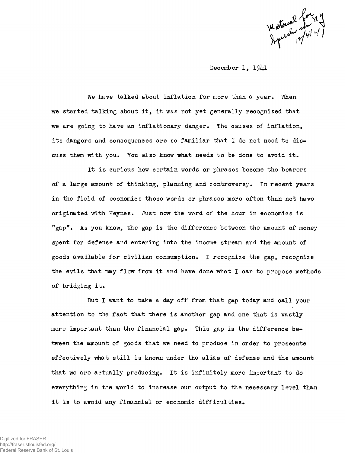matorial formy

December  $1, 19\n<sub>1</sub>1$ 

We have talked about inflation for more than a year. When we started talking about it, it was not yet generally recognized that we are going to have an inflationary danger. The causes of inflation, its dangers and consequences are so familiar that I do not need to discuss them with you. You also know what needs to be done to avoid it.

It is curious how certain words or phrases become the bearers of a large amount of thinking, planning and controversy. In recent years in the field of economics those words or phrases more often than not have originated with Keynes. Just now the word of the hour in economics is "gap". As you know, the gap is the difference between the amount of money spent for defense and entering into the income stream and the amount of goods available for civilian consumption. I recognize the gap, recognize the evils that may flow from it and have done what I can to propose methods of bridging it.

But I want to take a day off from that gap today and call your attention to the fact that there is another gap and one that is vastly more important than the financial gap. This gap is the difference between the amount of goods that we need to produce in order to prosecute effectively what still is known under the alias of defense and the amount that we are actually producing. It is infinitely more important to do everything in the world to increase our output to the necessary level than it is to avoid any financial or economic difficulties.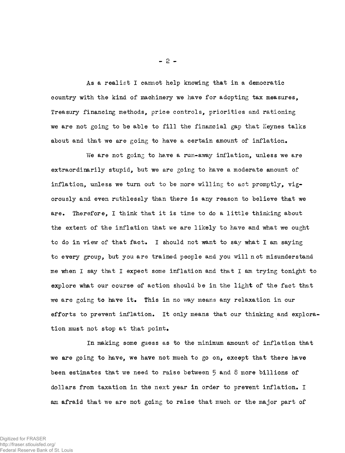As a realist I cannot help knowing that in a democratic country with the kind of machinery we have for adopting tax measures, Treasury financing methods, price controls, priorities and rationing we are not going to be able to fill the financial gap that Keynes talks about and that we are going to have a certain amount of inflation.

We are not going to have a run-away inflation, unless we are extra ordinarily stupid, but we are going to have a moderate amount of inflation, unless we turn out to be more willing to act promptly,  $vis$ orously and even ruthlessly than there is any reason to believe that we are. Therefore, I think that it is time to do a little thinking about the extent of the inflation that we are likely to have and what we ought to do in view of that fact. I should not want to say what I am saying to every group, but you are trained people and you will not misunderstand me when I say that I expect some inflation and that I am trying tonight to explore what our course of action should be in the light of the fact that we are going to have it. This in no way means any relaxation in our efforts to prevent inflation. It only means that our thinking and exploration must not stop at that point.

In making some guess as to the minimum amount of inflation that we are going to have, we have not much to go on, except that there have been estimates that we need to raise between 5 and 8 more billions of dollars from taxation in the next year in order to prevent inflation. I am afraid that we are not going to raise that much or the major part of

**- 2 -**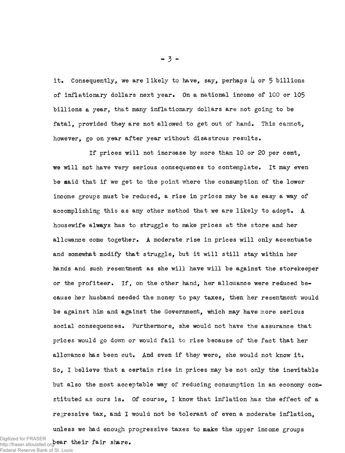it. Consequently, we are likely to have, say, perhaps  $\mu$  or 5 billions of inflationary dollars next year. On a national income of 100 or 105 billions a year, that many inflationary dollars are not going to be fatal, provided they are not allowed to get out of hand. This cannot, however, go on year after year without disastrous results.

If prices will not increase by more than 10 or 20 per cent, we will not have very serious consequences to contemplate. It may even be said that if we get to the point where the consumption of the lower income groups must be reduced, a rise in prices may be as easy a way of accomplishing this as any other method that we are likely to adopt. A housewife always has to struggle to make prices at the store and her allowance come together. A moderate rise in prices will only accentuate and somewhat modify that struggle, but it will still stay within her hands and such resentment as she will have will be against the storekeeper or the profiteer. If, on the other hand, her allowance were reduced because her husband needed the money to pay taxes, then her resentment would be against him and against the Government, which may have more serious social consequences. Furthermore, she would not have the assurance that prices would go down or would fail to rise because of the fact that her allowance has been cut. And even if they were, she would not know it. So, I believe that a certain rise in prices may be not only the inevitable but also the most acceptable way of reducing consumption in an economy constituted as ours is. Of course, I know that inflation has the effect of a regressive tax, and I would not be tolerant of even a moderate inflation,

unless we had enough progressive taxes to make the upper income groups Digitized for FRASER<br>http://fraser.stlouisfed.org**/ear\_their\_fair\_share.** http://fraser.stlouisfed.org/ Federal Reserve Bank of St. Louis

 $-3 -$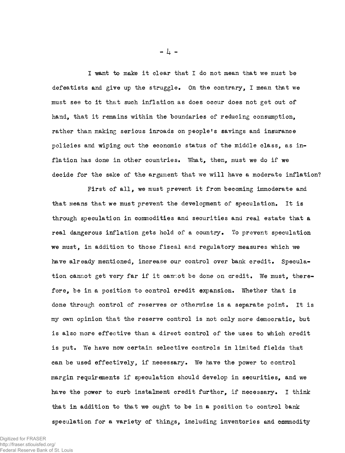I want to make it clear that I do not mean that we must be defeatists and give up the struggle. On the contrary, I mean that we must see to it that such inflation as does occur does not get out of hand, that it remains within the boundaries of reducing consumption, rather than making serious inroads on people's savings and insurance policies and wiping out the economic status of the middle class, as inflation has done in other countries. What, then, must we do if we decide for the sake of the argument that we will have a moderate inflation?

First of all, we must prevent it from becoming immoderate and that means that we must prevent the development of speculation. It is through speculation in commodities and securities and real estate that a real dangerous inflation gets hold of a country. To prevent speculation we must, in addition to those fiscal and regulatory measures which we have already mentioned, increase our control over bank credit. Speculation cannot get very far if it cannot be done on credit. We must, therefore, be in a position to control credit expansion. Whether that is done through control of reserves or otherwise is a separate point. It is my own opinion that the reserve control is not only more democratic. but is also more effective than a direct control of the uses to which credit is put. We have now certain selective controls in limited fields that can be used effectively, if necessary. We have the power to control margin requirements if speculation should develop in securities, and we have the power to curb instalment credit further, if necessary. I think that in addition to that we ought to be in a position to control bank speculation for a variety of things, including inventories and commodity

- *h* -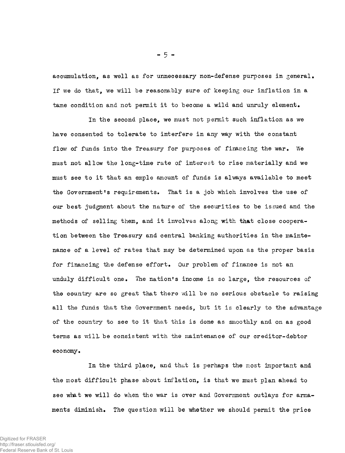accumulation, as well as for unnecessary non-defense purposes in general. If we do that, we will be reasonably sure of keeping our inflation in a tame condition and not permit it to become a wild and unruly element.

In the second place, we must not permit such inflation as we have consented to tolerate to interfere in any way with the constant flow of funds into the Treasury for purposes of financing the war. We must not allow the long-time rate of interest to rise materially and we must see to it that an emple amount of funds is always available to meet the Government's requirements. That is a job which involves the use of our best judgment about the nature of the securities to be issued and the methods of selling them, and it involves along with that close cooperation between the Treasury and central banking authorities in the maintenance of a level of rates that msy be determined upon as the proper basis for financing the defense effort. Our problem of finance is not an unduly difficult one. The nation's income is so large, the resources of the country are so great that there will be no serious obstacle to raising all the funds that the Government needs, but it is clearly to the advantage of the country to see to it that this is done as smoothly and on as good terms as will be consistent with the maintenance of our creditor-debtor economy.

In the third place, and that is perhaps the most important and the most difficult phase about inflation, is that we must plan ahead to see what we will do when the war is over and Government outlays for armaments diminish. The question will be whether we should permit the price

 $-5 -$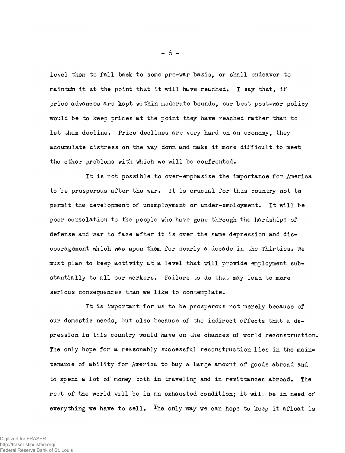level then to fall back to some pre-war basis, or shall endeavor to maintain it at the point that it will have reached. I say that, if price advances are kept within moderate bounds, our best post-war policy would be to keep prices at the point they have reached rather than to let them decline. Price declines are very hard on an economy, they accumulate distress on the way down and make it more difficult to meet the other problems with which we will be confronted.

It is not possible to over-emphasize the importance for America to be prosperous after the war. It is crucial for this country not to permit the development of unemployment or under-employment. It will be poor consolation to the people who have gone through the hardships of defense and war to face after it is over the same depression and discouragement which was upon them for nearly a decade in the Thirties. **We** must plan to keep activity at a level that will provide employment substantially to all our workers. Failure to do that may lead to more serious consequences than we like to contemplate.

It is important for us to be prosperous not merely because of our domestic needs, but also because of the indirect effects that a depression in this country would have on the chances of world reconstruction. The only hope for a reasonably successful reconstruction lies in the maintenance of ability for America to buy a large amount of goods abroad and to spend a lot of money both in traveling and in remittances abroad. The rest of the world will be in an exhausted condition; it will be in need of everything we have to sell. <sup>The</sup> only way we can hope to keep it afloat is

**- 6 -**